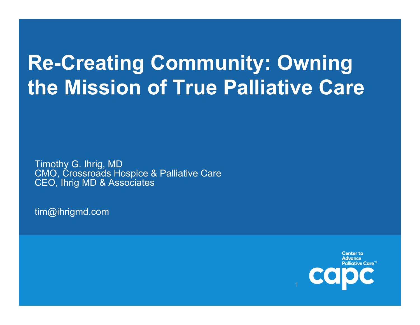# **Re-Creating Community: Owning the Mission of True Palliative Care**

Timothy G. Ihrig, MD CMO, Crossroads Hospice & Palliative Care CEO, Ihrig MD & Associates

tim@ihrigmd.com

**Center to Advance Palliative Care™**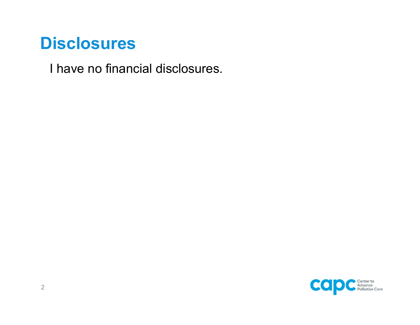#### **Disclosures**

I have no financial disclosures.

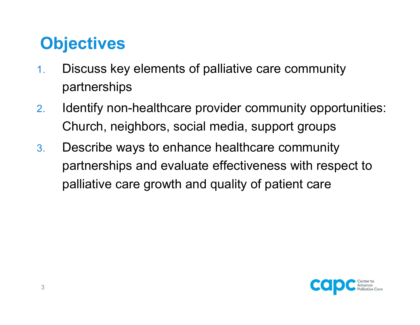### **Objectives**

- 1. Discuss key elements of palliative care community partnerships
- 2. Identify non-healthcare provider community opportunities: Church, neighbors, social media, support groups
- 3. Describe ways to enhance healthcare community partnerships and evaluate effectiveness with respect to palliative care growth and quality of patient care

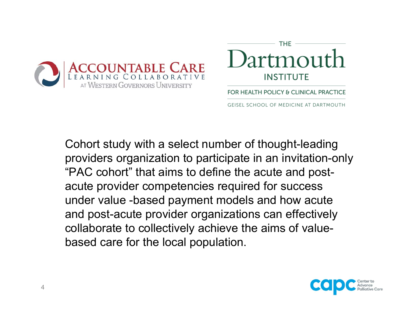



**FOR HEALTH POLICY & CLINICAL PRACTICE** 

**GEISEL SCHOOL OF MEDICINE AT DARTMOUTH** 

Cohort study with a select number of thought-leading providers organization to participate in an invitation-only "PAC cohort" that aims to define the acute and postacute provider competencies required for success under value -based payment models and how acute and post-acute provider organizations can effectively collaborate to collectively achieve the aims of valuebased care for the local population.

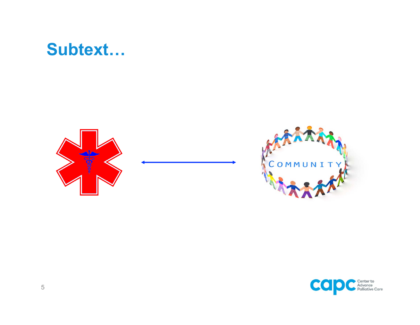#### Subtext...





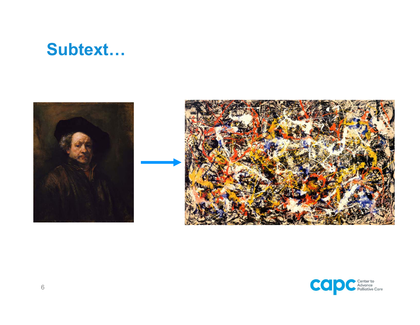### Subtext...



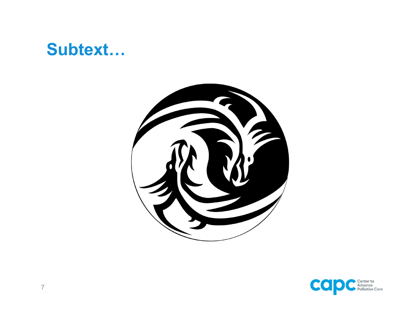#### Subtext...



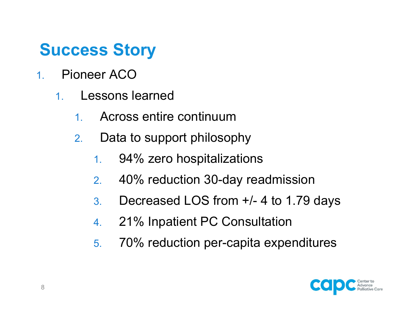## **Success Story**

- 1. Pioneer ACO
	- 1. Lessons learned
		- 1.Across entire continuum
		- 2. Data to support philosophy
			- 1.94% zero hospitalizations
			- 2.40% reduction 30-day readmission
			- 3.Decreased LOS from +/- 4 to 1.79 days
			- 4.21% Inpatient PC Consultation
			- 5.70% reduction per-capita expenditures

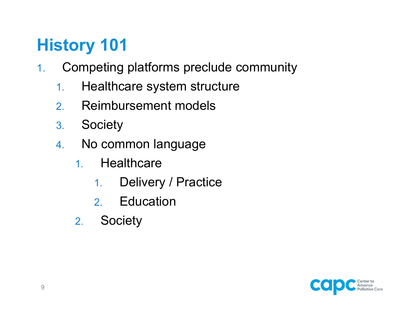## **History 101**

- 1. Competing platforms preclude community
	- 1.Healthcare system structure
	- 2.Reimbursement models
	- 3. Society
	- 4. No common language
		- 1. Healthcare
			- 1.Delivery / Practice
			- 2. Education
		- 2. Society

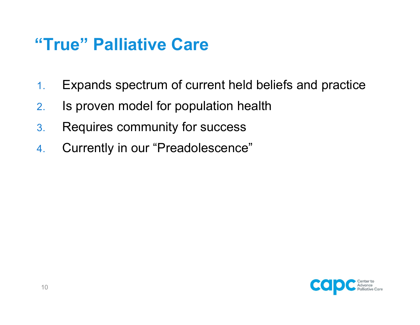#### **"True" Palliative Care**

- 1.Expands spectrum of current held beliefs and practice
- 2.Is proven model for population health
- 3.Requires community for success
- 4.Currently in our "Preadolescence"

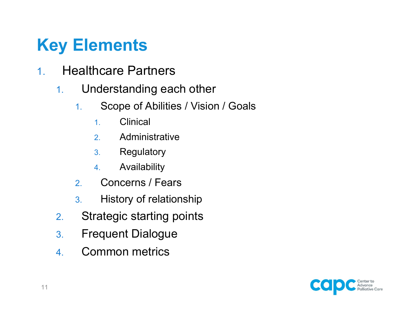## **Key Elements**

- 1. Healthcare Partners
	- 1. Understanding each other
		- 1. Scope of Abilities / Vision / Goals
			- 1.Clinical
			- 2.Administrative
			- 3.**Regulatory**
			- 4.Availability
		- 2.Concerns / Fears
		- 3.History of relationship
	- 2.Strategic starting points
	- 3.Frequent Dialogue
	- 4.Common metrics

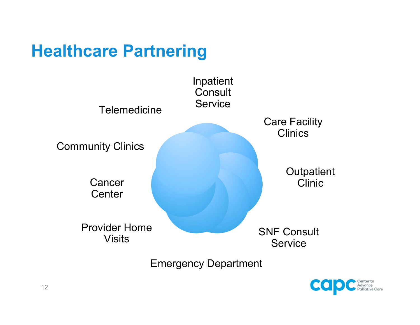### **Healthcare Partnering**



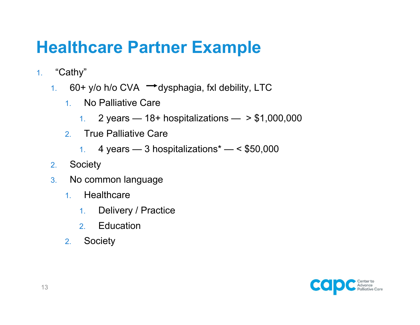### **Healthcare Partner Example**

- 1. "Cathy"
	- 1. 60+ y/o h/o CVA ➡dysphagia, fxl debility, LTC
		- 1. No Palliative Care
			- 1. 2 years 18+ hospitalizations > \$1,000,000
		- 2. True Palliative Care
			- 1. 4 years 3 hospitalizations $^*$  < \$50,000
	- 2. Society
	- 3. No common language
		- 1.**Healthcare** 
			- 1. Delivery / Practice
			- 2. Education
		- 2.Society

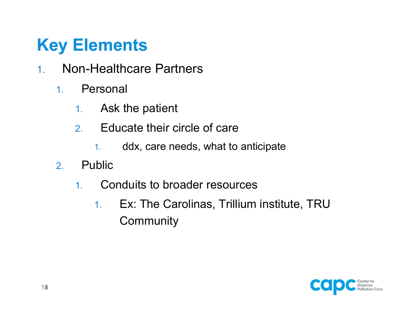## **Key Elements**

- 1. Non-Healthcare Partners
	- 1. Personal
		- 1.Ask the patient
		- 2. Educate their circle of care
			- 1.ddx, care needs, what to anticipate
	- 2. Public
		- 1. Conduits to broader resources
			- 1. Ex: The Carolinas, Trillium institute, TRU **Community**

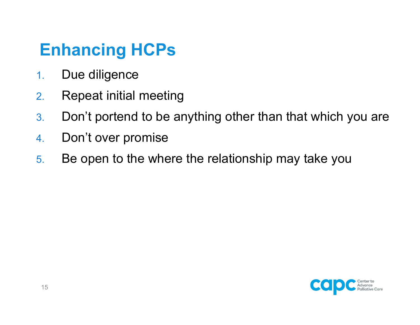## **Enhancing HCPs**

- 1.Due diligence
- 2.Repeat initial meeting
- 3.Don't portend to be anything other than that which you are
- 4.Don't over promise
- 5.Be open to the where the relationship may take you

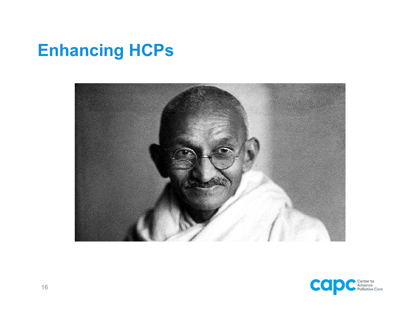## **Enhancing HCPs**



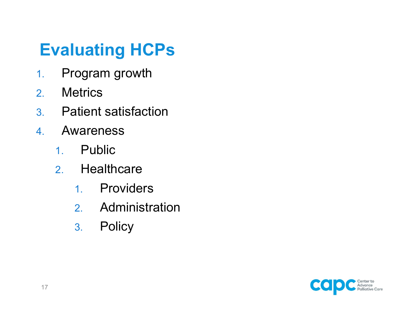## **Evaluating HCPs**

- 1.Program growth
- 2.Metrics
- 3. Patient satisfaction
- 4. Awareness
	- 1.Public
	- 2. Healthcare
		- 1. Providers
		- 2. Administration
		- 3. Policy